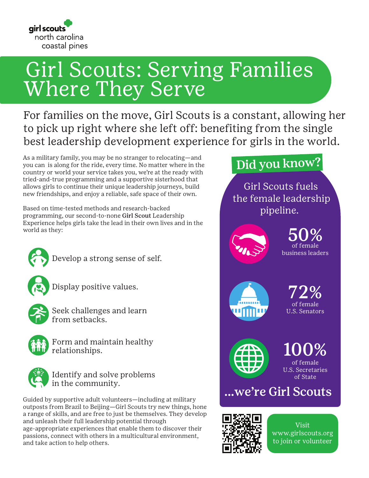

# Girl Scouts: Serving Families Where They Serve

For families on the move, Girl Scouts is a constant, allowing her to pick up right where she left off: benefiting from the single best leadership development experience for girls in the world.

As a military family, you may be no stranger to relocating—and you can is along for the ride, every time. No matter where in the country or world your service takes you, we're at the ready with tried-and-true programming and a supportive sisterhood that allows girls to continue their unique leadership journeys, build new friendships, and enjoy a reliable, safe space of their own.

Based on time-tested methods and research-backed programming, our second-to-none Girl Scout Leadership Experience helps girls take the lead in their own lives and in the world as they:



Develop a strong sense of self.

Display positive values.



Seek challenges and learn from setbacks.



Form and maintain healthy relationships.



Identify and solve problems in the community.

Guided by supportive adult volunteers—including at military outposts from Brazil to Beijing—Girl Scouts try new things, hone a range of skills, and are free to just be themselves. They develop and unleash their full leadership potential through age-appropriate experiences that enable them to discover their passions, connect with others in a multicultural environment, and take action to help others.

## Did you know?

Girl Scouts fuels the female leadership pipeline.



50% of female business leaders



72% of female U.S. Senators



100% of female U.S. Secretaries

of State

### ...we're Girl Scouts



Visit www.girlscouts.org to join or volunteer